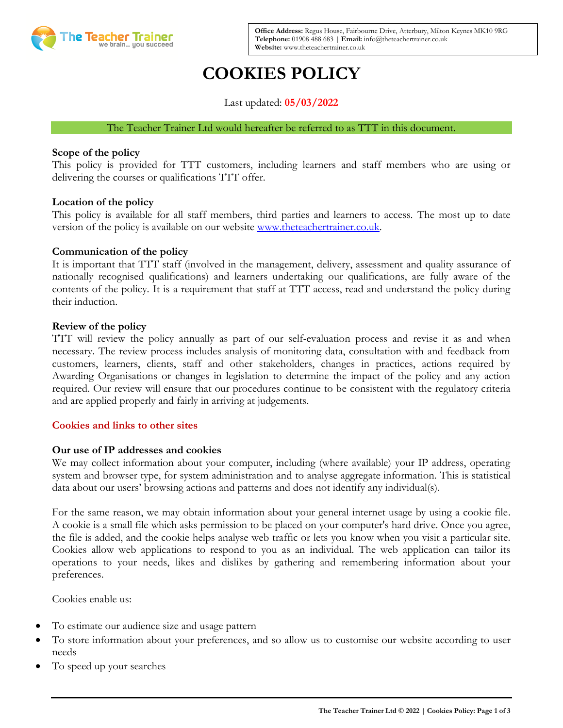

**Office Address:** Regus House, Fairbourne Drive, Atterbury, Milton Keynes MK10 9RG **Telephone:** 01908 488 683 **| Email:** info@theteachertrainer.co.uk **Website:** www.theteachertrainer.co.uk

# **COOKIES POLICY**

Last updated: **05/03/2022**

#### The Teacher Trainer Ltd would hereafter be referred to as TTT in this document.

#### **Scope of the policy**

This policy is provided for TTT customers, including learners and staff members who are using or delivering the courses or qualifications TTT offer.

### **Location of the policy**

This policy is available for all staff members, third parties and learners to access. The most up to date version of the policy is available on our website [www.theteachertrainer.co.uk.](http://www.theteachertrainer.co.uk/)

#### **Communication of the policy**

It is important that TTT staff (involved in the management, delivery, assessment and quality assurance of nationally recognised qualifications) and learners undertaking our qualifications, are fully aware of the contents of the policy. It is a requirement that staff at TTT access, read and understand the policy during their induction.

#### **Review of the policy**

TTT will review the policy annually as part of our self-evaluation process and revise it as and when necessary. The review process includes analysis of monitoring data, consultation with and feedback from customers, learners, clients, staff and other stakeholders, changes in practices, actions required by Awarding Organisations or changes in legislation to determine the impact of the policy and any action required. Our review will ensure that our procedures continue to be consistent with the regulatory criteria and are applied properly and fairly in arriving at judgements.

#### **Cookies and links to other sites**

#### **Our use of IP addresses and cookies**

We may collect information about your computer, including (where available) your IP address, operating system and browser type, for system administration and to analyse aggregate information. This is statistical data about our users' browsing actions and patterns and does not identify any individual(s).

For the same reason, we may obtain information about your general internet usage by using a cookie file. A cookie is a small file which asks permission to be placed on your computer's hard drive. Once you agree, the file is added, and the cookie helps analyse web traffic or lets you know when you visit a particular site. Cookies allow web applications to respond to you as an individual. The web application can tailor its operations to your needs, likes and dislikes by gathering and remembering information about your preferences.

Cookies enable us:

- To estimate our audience size and usage pattern
- To store information about your preferences, and so allow us to customise our website according to user needs
- To speed up your searches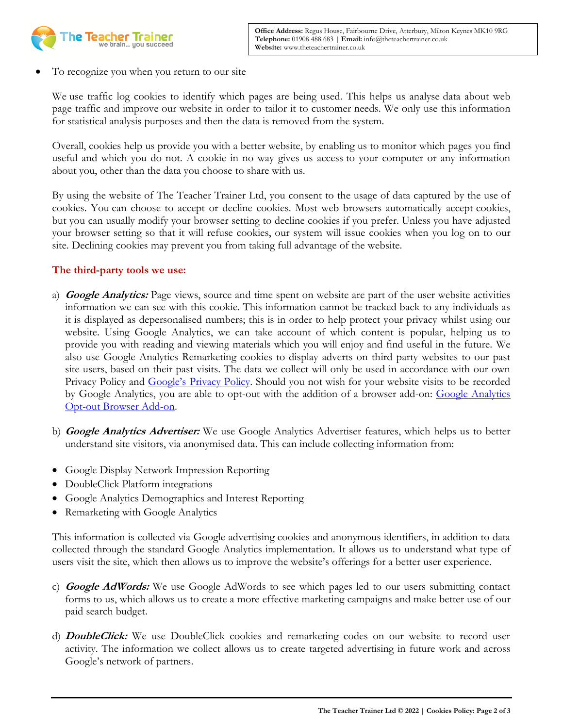

• To recognize you when you return to our site

We use traffic log cookies to identify which pages are being used. This helps us analyse data about web page traffic and improve our website in order to tailor it to customer needs. We only use this information for statistical analysis purposes and then the data is removed from the system.

Overall, cookies help us provide you with a better website, by enabling us to monitor which pages you find useful and which you do not. A cookie in no way gives us access to your computer or any information about you, other than the data you choose to share with us.

By using the website of The Teacher Trainer Ltd, you consent to the usage of data captured by the use of cookies. You can choose to accept or decline cookies. Most web browsers automatically accept cookies, but you can usually modify your browser setting to decline cookies if you prefer. Unless you have adjusted your browser setting so that it will refuse cookies, our system will issue cookies when you log on to our site. Declining cookies may prevent you from taking full advantage of the website.

## **The third-party tools we use:**

- a) **Google Analytics:** Page views, source and time spent on website are part of the user website activities information we can see with this cookie. This information cannot be tracked back to any individuals as it is displayed as depersonalised numbers; this is in order to help protect your privacy whilst using our website. Using Google Analytics, we can take account of which content is popular, helping us to provide you with reading and viewing materials which you will enjoy and find useful in the future. We also use Google Analytics Remarketing cookies to display adverts on third party websites to our past site users, based on their past visits. The data we collect will only be used in accordance with our own Privacy Policy and Google's [Privacy Policy.](https://developers.google.com/analytics/devguides/collection/analyticsjs/cookie-usage) Should you not wish for your website visits to be recorded by Google Analytics, you are able to opt-out with the addition of a browser add-on: Google Analytics [Opt-out Browser Add-on.](https://tools.google.com/dlpage/gaoptout/)
- b) **Google Analytics Advertiser:** We use Google Analytics Advertiser features, which helps us to better understand site visitors, via anonymised data. This can include collecting information from:
- Google Display Network Impression Reporting
- DoubleClick Platform integrations
- Google Analytics Demographics and Interest Reporting
- Remarketing with Google Analytics

This information is collected via Google advertising cookies and anonymous identifiers, in addition to data collected through the standard Google Analytics implementation. It allows us to understand what type of users visit the site, which then allows us to improve the website's offerings for a better user experience.

- c) **Google AdWords:** We use Google AdWords to see which pages led to our users submitting contact forms to us, which allows us to create a more effective marketing campaigns and make better use of our paid search budget.
- d) **DoubleClick:** We use DoubleClick cookies and remarketing codes on our website to record user activity. The information we collect allows us to create targeted advertising in future work and across Google's network of partners.